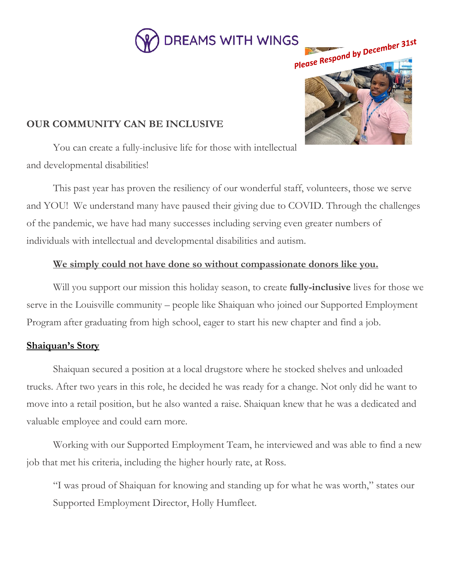



# **OUR COMMUNITY CAN BE INCLUSIVE**

You can create a fully-inclusive life for those with intellectual and developmental disabilities!

This past year has proven the resiliency of our wonderful staff, volunteers, those we serve and YOU! We understand many have paused their giving due to COVID. Through the challenges of the pandemic, we have had many successes including serving even greater numbers of individuals with intellectual and developmental disabilities and autism.

# **We simply could not have done so without compassionate donors like you.**

Will you support our mission this holiday season, to create **fully-inclusive** lives for those we serve in the Louisville community – people like Shaiquan who joined our Supported Employment Program after graduating from high school, eager to start his new chapter and find a job.

## **Shaiquan's Story**

Shaiquan secured a position at a local drugstore where he stocked shelves and unloaded trucks. After two years in this role, he decided he was ready for a change. Not only did he want to move into a retail position, but he also wanted a raise. Shaiquan knew that he was a dedicated and valuable employee and could earn more.

Working with our Supported Employment Team, he interviewed and was able to find a new job that met his criteria, including the higher hourly rate, at Ross.

"I was proud of Shaiquan for knowing and standing up for what he was worth," states our Supported Employment Director, Holly Humfleet.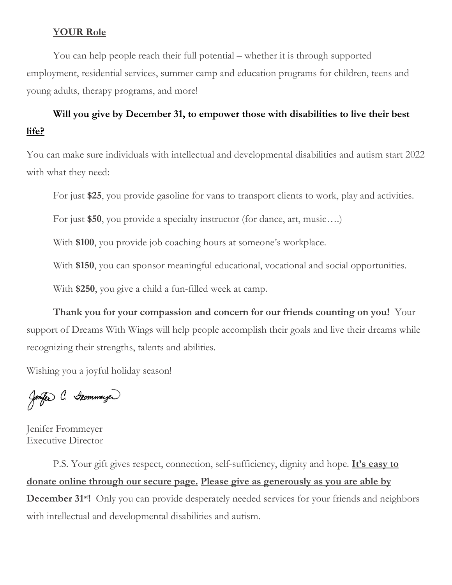## **YOUR Role**

You can help people reach their full potential – whether it is through supported employment, residential services, summer camp and education programs for children, teens and young adults, therapy programs, and more!

# Will you give by December 31, to empower those with disabilities to live their best **life?**

You can make sure individuals with intellectual and developmental disabilities and autism start 2022 with what they need:

For just **\$25**, you provide gasoline for vans to transport clients to work, play and activities.

For just **\$50**, you provide a specialty instructor (for dance, art, music….)

With **\$100**, you provide job coaching hours at someone's workplace.

With **\$150**, you can sponsor meaningful educational, vocational and social opportunities.

With **\$250**, you give a child a fun-filled week at camp.

**Thank you for your compassion and concern for our friends counting on you!** Your support of Dreams With Wings will help people accomplish their goals and live their dreams while recognizing their strengths, talents and abilities.

Wishing you a joyful holiday season!

Jenfer C. Geommeyer

Jenifer Frommeyer Executive Director

P.S. Your gift gives respect, connection, self-sufficiency, dignity and hope. **It's easy to donate online through our secure page. Please give as generously as you are able by December 31<sup>st</sup>!** Only you can provide desperately needed services for your friends and neighbors with intellectual and developmental disabilities and autism.